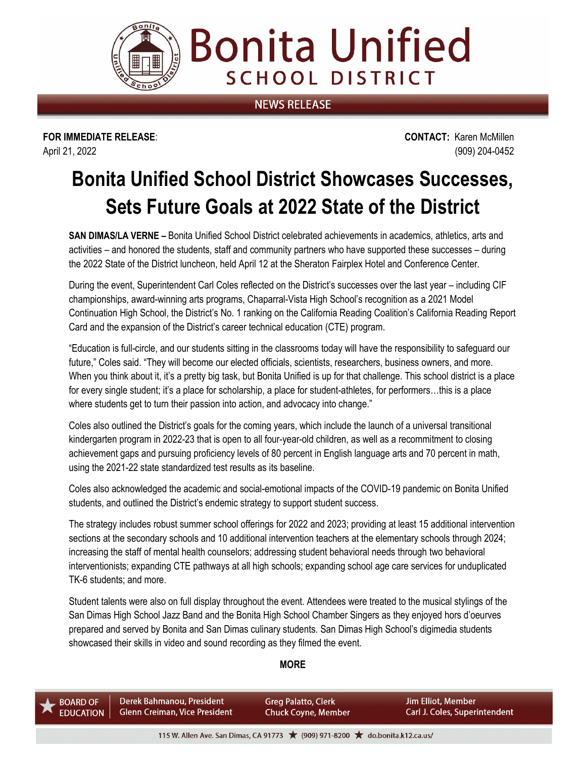

**Bonita Unified SCHOOL DISTRICT** 

## **NEWS RELEASE**

**FOR IMMEDIATE RELEASE**: **CONTACT:** Karen McMillen April 21, 2022 (909) 204-0452

# **Bonita Unified School District Showcases Successes, Sets Future Goals at 2022 State of the District**

**SAN DIMAS/LA VERNE –** Bonita Unified School District celebrated achievements in academics, athletics, arts and activities – and honored the students, staff and community partners who have supported these successes – during the 2022 State of the District luncheon, held April 12 at the Sheraton Fairplex Hotel and Conference Center.

During the event, Superintendent Carl Coles reflected on the District's successes over the last year – including CIF championships, award-winning arts programs, Chaparral-Vista High School's recognition as a 2021 Model Continuation High School, the District's No. 1 ranking on the California Reading Coalition's California Reading Report Card and the expansion of the District's career technical education (CTE) program.

"Education is full-circle, and our students sitting in the classrooms today will have the responsibility to safeguard our future," Coles said. "They will become our elected officials, scientists, researchers, business owners, and more. When you think about it, it's a pretty big task, but Bonita Unified is up for that challenge. This school district is a place for every single student; it's a place for scholarship, a place for student-athletes, for performers…this is a place where students get to turn their passion into action, and advocacy into change."

Coles also outlined the District's goals for the coming years, which include the launch of a universal transitional kindergarten program in 2022-23 that is open to all four-year-old children, as well as a recommitment to closing achievement gaps and pursuing proficiency levels of 80 percent in English language arts and 70 percent in math, using the 2021-22 state standardized test results as its baseline.

Coles also acknowledged the academic and social-emotional impacts of the COVID-19 pandemic on Bonita Unified students, and outlined the District's endemic strategy to support student success.

The strategy includes robust summer school offerings for 2022 and 2023; providing at least 15 additional intervention sections at the secondary schools and 10 additional intervention teachers at the elementary schools through 2024; increasing the staff of mental health counselors; addressing student behavioral needs through two behavioral interventionists; expanding CTE pathways at all high schools; expanding school age care services for unduplicated TK-6 students; and more.

Student talents were also on full display throughout the event. Attendees were treated to the musical stylings of the San Dimas High School Jazz Band and the Bonita High School Chamber Singers as they enjoyed hors d'oeurves prepared and served by Bonita and San Dimas culinary students. San Dimas High School's digimedia students showcased their skills in video and sound recording as they filmed the event.

#### **MORE**